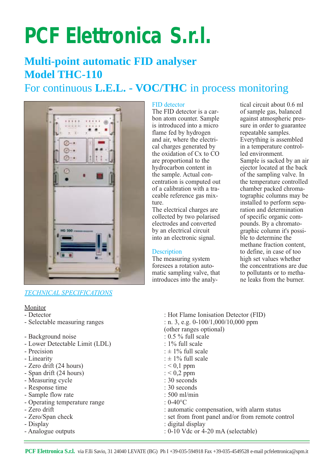# **PCF Elettronica S.r.l.**

# **Multi-point automatic FID analyser Model THC-110**

## For continuous **L.E.L. - VOC/THC** in process monitoring



## *TECHNICAL SPECIFICATIONS*

#### Monitor

- 
- 
- Background noise
- Lower Detectable Limit (LDL) : 1% full scale
- 
- 
- 
- 
- Measuring cycle
- Response time : 30 seconds
- 
- Operating temperature range<br>- Zero drift
- 
- 
- 
- 

#### FID detector

The FID detector is a carbon atom counter. Sample is introduced into a micro flame fed by hydrogen and air, where the electrical charges generated by the oxidation of Cx to CO are proportional to the hydrocarbon content in the sample. Actual concentration is computed out of a calibration with a traceable reference gas mixture.

The electrical charges are collected by two polarised electrodes and converted by an electrical circuit into an electronic signal.

### **Description**

The measuring system foresees a rotation automatic sampling valve, that introduces into the analy-

tical circuit about 0.6 ml of sample gas, balanced against atmospheric pressure in order to guarantee repeatable samples. Everything is assembled in a temperature controlled environment. Sample is sacked by an air ejector located at the back of the sampling valve. In the temperature controlled chamber packed chromatographic columns may be installed to perform separation and determination of specific organic compounds. By a chromatographic column it's possible to determine the methane fraction content, to define, in case of too high set values whether the concentrations are due to pollutants or to methane leaks from the burner.

- Detector<br>
 Selectable measuring ranges<br>
: Hot Flame Ionisation Detector (FID)<br>
: n. 3, e.g. 0-100/1,000/10,000 ppm : n. 3, e.g.  $0-100/1,000/10,000$  ppm (other ranges optional)<br>:  $0.5\%$  full scale - Precision :  $\pm$  1% full scale<br>- Linearity :  $\pm$  1% full scale<br>:  $\pm$  1% full scale :  $\pm$  1% full scale<br>:  $< 0.1$  ppm - Zero drift (24 hours)  $: < 0,1$  ppm<br>- Span drift (24 hours)  $: < 0.2$  ppm - Span drift (24 hours)<br>
- Measuring cycle<br>
: 30 seconds - Sample flow rate : 500 ml/min<br>
- Operating temperature range :  $0.40^{\circ}$ C - Zero drift : automatic compensation, with alarm status<br>- Zero/Span check : set from front panel and/or from remote co : set from front panel and/or from remote control - Display : digital display
- $\frac{1}{2}$  Analogue outputs : 0-10 Vdc or 4-20 mA (selectable)